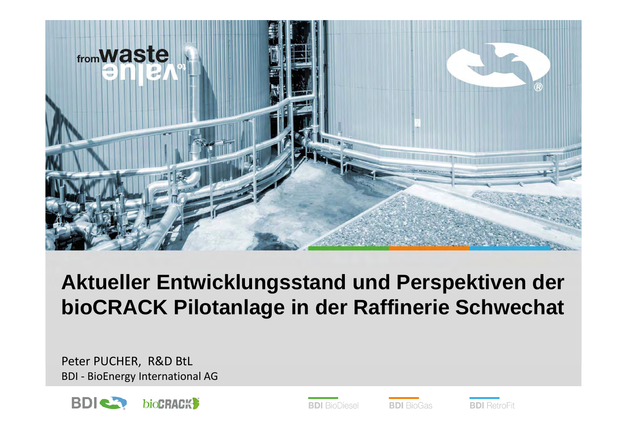

## **Aktueller Entwicklungsstand und Perspektiven der bioCRACK Pilotanlage in der Raffinerie Schwechat**

Peter PUCHER, R&D BtL BDI - BioEnergy International AG





**BDI** BioGas

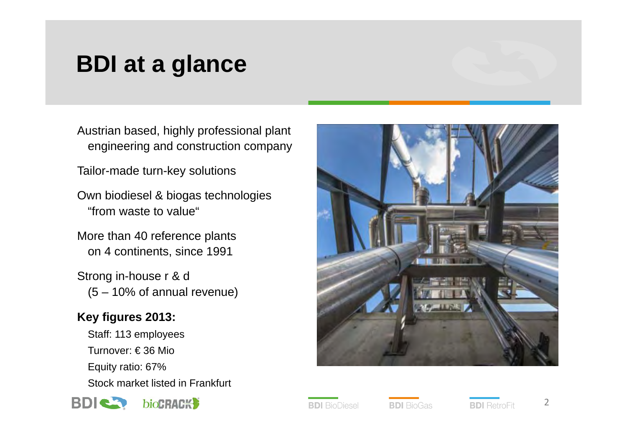# **BDI at a glance**

Austrian based, highly professional plant engineering and construction company

Tailor-made turn-key solutions

Own biodiesel & biogas technologies "from waste to value"

More than 40 reference plants on 4 continents, since 1991

Strong in-house r & d (5 – 10% of annual revenue)

## **Key figures 2013:**

Staff: 113 employees Turnover: € 36 Mio Equity ratio: 67% Stock market listed in Frankfurt





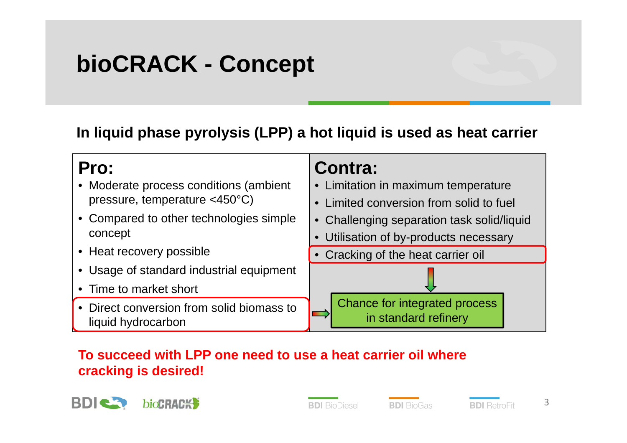# **bioCRACK - Concept**

#### **In liquid phase pyrolysis (LPP) a hot liquid is used as heat carrier**



#### **To succeed with LPP one need to use a heat carrier oil where cracking is desired!**



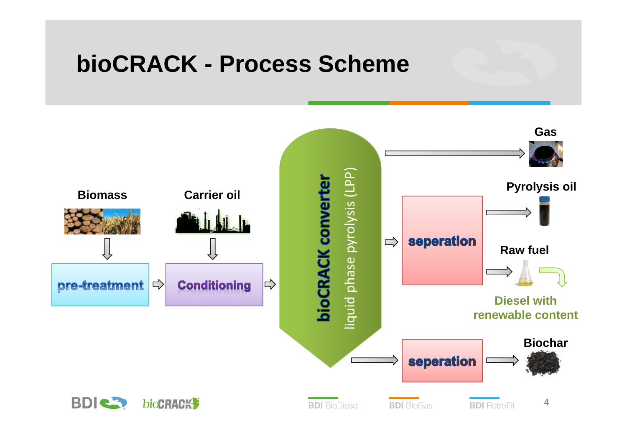## **bioCRACK - Process Scheme**

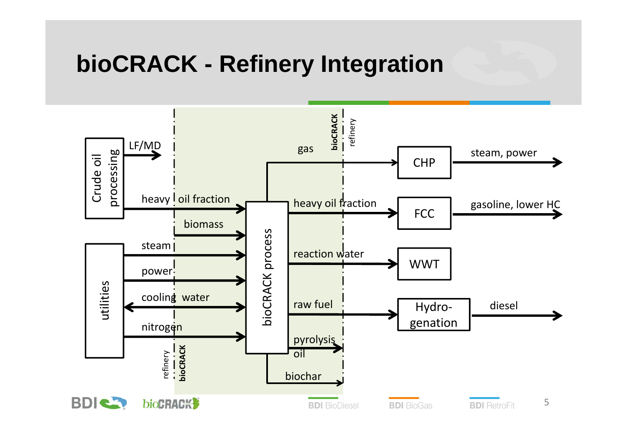## **bioCRACK - Refinery Integration**

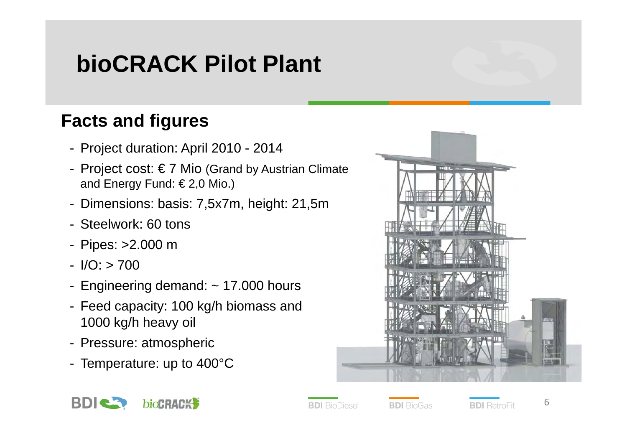# **bioCRACK Pilot Plant**

## **Facts and figures**

- Project duration: April 2010 2014
- Project cost: € 7 Mio (Grand by Austrian Climate and Energy Fund: € 2,0 Mio.)
- Dimensions: basis: 7,5x7m, height: 21,5m
- Steelwork: 60 tons
- Pipes: >2.000 m
- $I/O$ :  $> 700$
- Engineering demand: ~ 17.000 hours
- Feed capacity: 100 kg/h biomass and 1000 kg/h heavy oil
- Pressure: atmospheric
- Temperature: up to 400°C





**BDI** BioDiesel

**BDI** RetroFit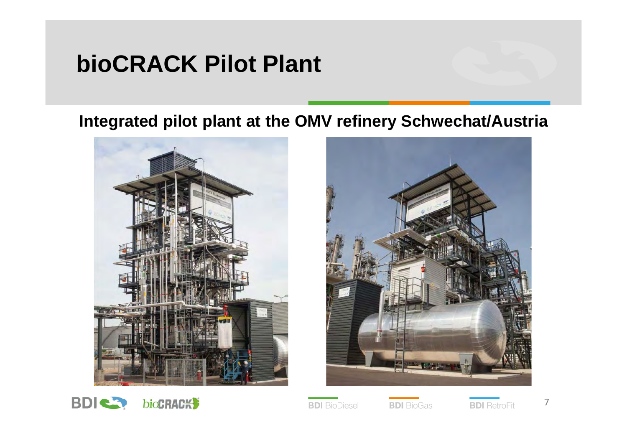## **bioCRACK Pilot Plant**

## **Integrated pilot plant at the OMV refinery Schwechat/Austria**







**BDI** BioDiesel

**BDI** BioGas

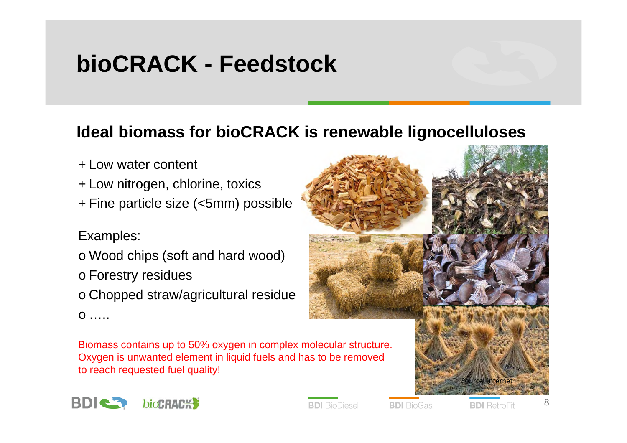# **bioCRACK - Feedstock**

### **Ideal biomass for bioCRACK is renewable lignocelluloses**

- + Low water content
- + Low nitrogen, chlorine, toxics
- + Fine particle size (<5mm) possible

#### Examples:

- o Wood chips (soft and hard wood)
- o Forestry residues
- o Chopped straw/agricultural residue



Biomass contains up to 50% oxygen in complex molecular structure. Oxygen is unwanted element in liquid fuels and has to be removed to reach requested fuel quality!





**BDI** BioDiesel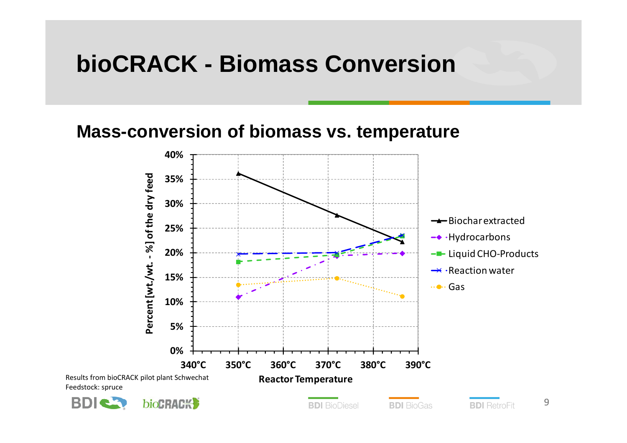## **bioCRACK - Biomass Conversion**

#### **Mass-conversion of biomass vs. temperature**

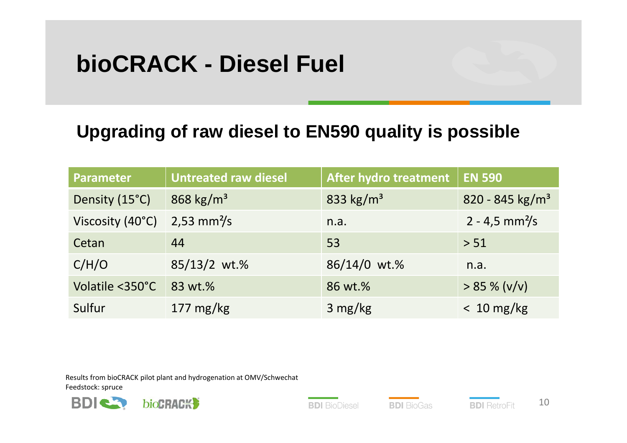# **bioCRACK - Diesel Fuel**

## **Upgrading of raw diesel to EN590 quality is possible**

| <b>Parameter</b> | <b>Untreated raw diesel</b> | After hydro treatment | <b>EN 590</b>                |
|------------------|-----------------------------|-----------------------|------------------------------|
| Density (15°C)   | 868 kg/m <sup>3</sup>       | 833 kg/m <sup>3</sup> | 820 - 845 kg/m <sup>3</sup>  |
| Viscosity (40°C) | $2,53$ mm <sup>2</sup> /s   | n.a.                  | $2 - 4.5$ mm <sup>2</sup> /s |
| Cetan            | 44                          | 53                    | > 51                         |
| C/H/O            | 85/13/2 wt.%                | 86/14/0 wt.%          | n.a.                         |
| Volatile <350°C  | 83 wt.%                     | 86 wt.%               | $> 85 \% (v/v)$              |
| Sulfur           | $177 \text{ mg/kg}$         | $3 \text{ mg/kg}$     | $< 10$ mg/kg                 |

Results from bioCRACK pilot plant and hydrogenation at OMV/Schwechat Feedstock: spruce



**BDI** BioDiesel

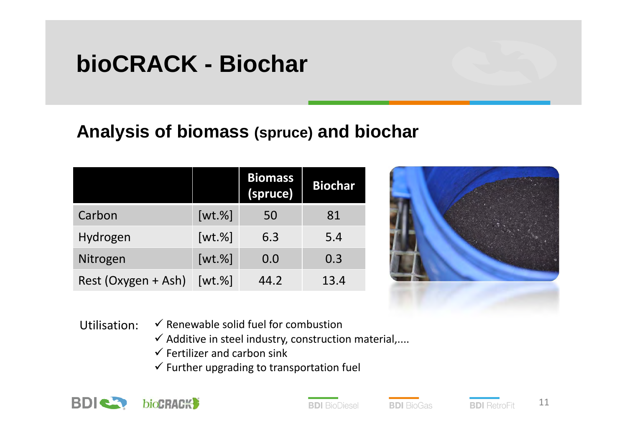# **bioCRACK - Biochar**

## **Analysis of biomass (spruce) and biochar**

|                     |              | <b>Biomass</b><br>(spruce) | <b>Biochar</b> |
|---------------------|--------------|----------------------------|----------------|
| Carbon              | $[wt. \%]$   | 50                         | 81             |
| Hydrogen            | $[wt. \%]$   | 6.3                        | 5.4            |
| Nitrogen            | $[wt. \%]$   | 0.0                        | 0.3            |
| Rest (Oxygen + Ash) | $[wt.$ % $]$ | 44.2                       | 13.4           |



- Utilisation:  $\checkmark$  Renewable solid fuel for combustion
	- $\checkmark$  Additive in steel industry, construction material,....
	- $\checkmark$  Fertilizer and carbon sink
	- $\checkmark$  Further upgrading to transportation fuel



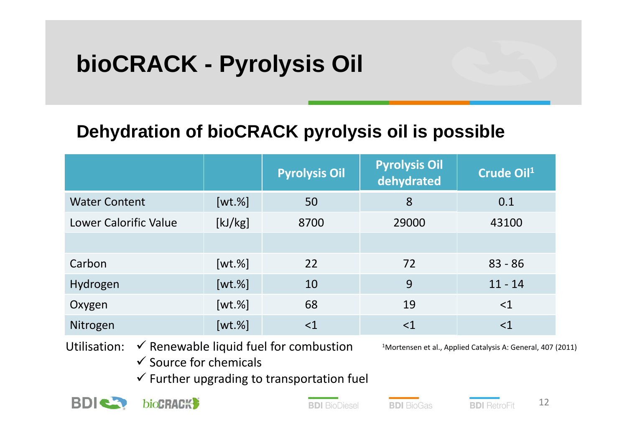# **bioCRACK - Pyrolysis Oil**

## **Dehydration of bioCRACK pyrolysis oil is possible**

|                              |            | <b>Pyrolysis Oil</b> | <b>Pyrolysis Oil</b><br>dehydrated | Crude Oil <sup>1</sup> |
|------------------------------|------------|----------------------|------------------------------------|------------------------|
| <b>Water Content</b>         | $[wt. \%]$ | 50                   | 8                                  | 0.1                    |
| <b>Lower Calorific Value</b> | [kJ/kg]    | 8700                 | 29000                              | 43100                  |
|                              |            |                      |                                    |                        |
| Carbon                       | $[wt. \%]$ | 22                   | 72                                 | $83 - 86$              |
| Hydrogen                     | $[wt. \%]$ | 10                   | 9                                  | $11 - 14$              |
| Oxygen                       | $[wt. \%]$ | 68                   | 19                                 | $<$ 1                  |
| Nitrogen                     | $[wt. \%]$ | $\leq$ 1             | $<$ $1$                            | $<$ 1                  |

Utilisation:  $\checkmark$  Renewable liquid fuel for combustion

1Mortensen et al., Applied Catalysis A: General, 407 (2011)

- $\checkmark$  Source for chemicals
- $\checkmark$  Further upgrading to transportation fuel



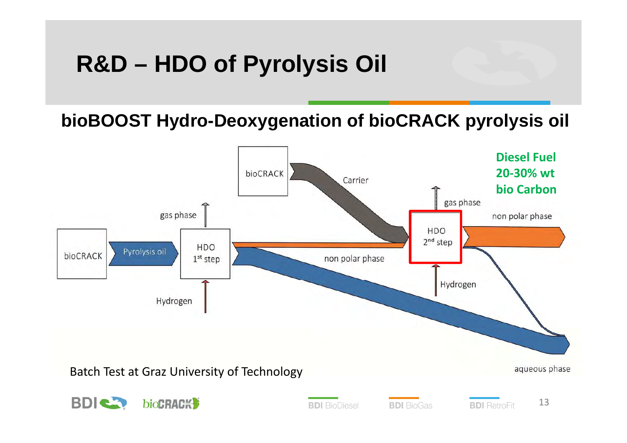# **R&D – HDO of Pyrolysis Oil**

**bioBOOST Hydro-Deoxygenation of bioCRACK pyrolysis oil**

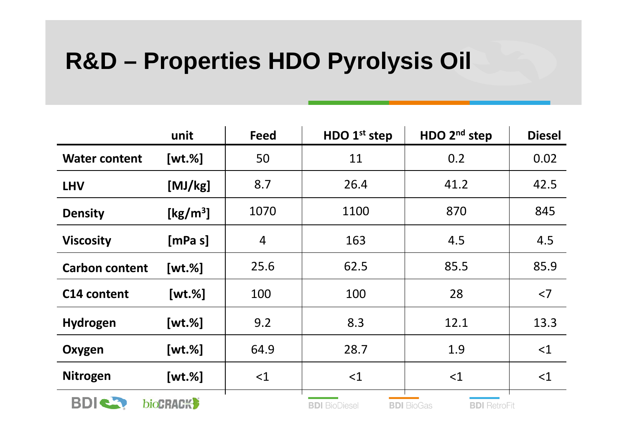# **R&D – Properties HDO Pyrolysis Oil**

|                       | unit                                        | <b>Feed</b>    | HDO 1 <sup>st</sup> step | HDO 2 <sup>nd</sup> step                 | <b>Diesel</b> |
|-----------------------|---------------------------------------------|----------------|--------------------------|------------------------------------------|---------------|
| <b>Water content</b>  | $[wt. \%]$                                  | 50             | 11                       | 0.2                                      | 0.02          |
| <b>LHV</b>            | [MJ/kg]                                     | 8.7            | 26.4                     | 41.2                                     | 42.5          |
| <b>Density</b>        | $\left[\frac{\text{kg}}{\text{m}^3}\right]$ | 1070           | 1100                     | 870                                      | 845           |
| <b>Viscosity</b>      | [mPa s]                                     | $\overline{4}$ | 163                      | 4.5                                      | 4.5           |
| <b>Carbon content</b> | $[wt. \%]$                                  | 25.6           | 62.5                     | 85.5                                     | 85.9          |
| C14 content           | $[wt. \%]$                                  | 100            | 100                      | 28                                       | $<$ 7         |
| Hydrogen              | $[wt. \%]$                                  | 9.2            | 8.3                      | 12.1                                     | 13.3          |
| Oxygen                | $[wt. \%]$                                  | 64.9           | 28.7                     | 1.9                                      | <1            |
| <b>Nitrogen</b>       | $[wt. \%]$                                  | $<$ 1          | <1                       | <1                                       | $<$ 1         |
| <b>BDIC3</b>          | <b>bioCRACK</b>                             |                | <b>BDI</b> BioDiesel     | <b>BDI</b> BioGas<br><b>BDI</b> RetroFit |               |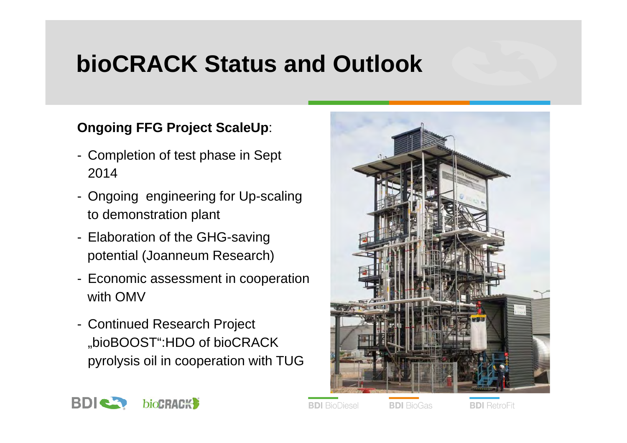# **bioCRACK Status and Outlook**

#### **Ongoing FFG Project ScaleUp**:

- Completion of test phase in Sept 2014
- Ongoing engineering for Up-scaling to demonstration plant
- Elaboration of the GHG-saving potential (Joanneum Research)
- Economic assessment in cooperation with OMV
- Continued Research Project "bioBOOST":HDO of bioCRACK pyrolysis oil in cooperation with TUG





**BDI** BioDiesel

**BDI** BioGas

**BDI** RetroFit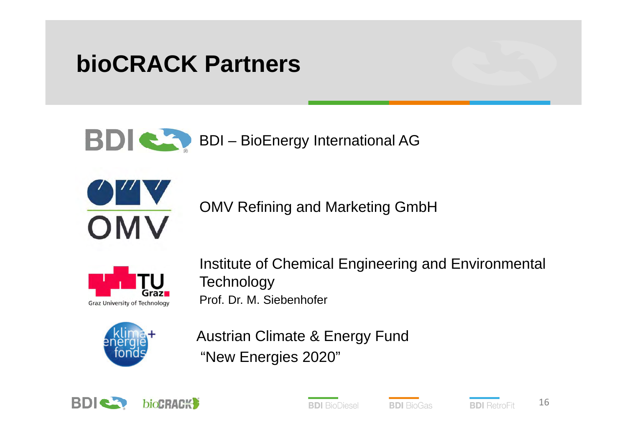# **bioCRACK Partners**

BDI **CO** BDI – BioEnergy International AG



OMV Refining and Marketing GmbH



Institute of Chemical Engineering and Environmental **Technology** Prof. Dr. M. Siebenhofer



Austrian Climate & Energy Fund "New Energies 2020"